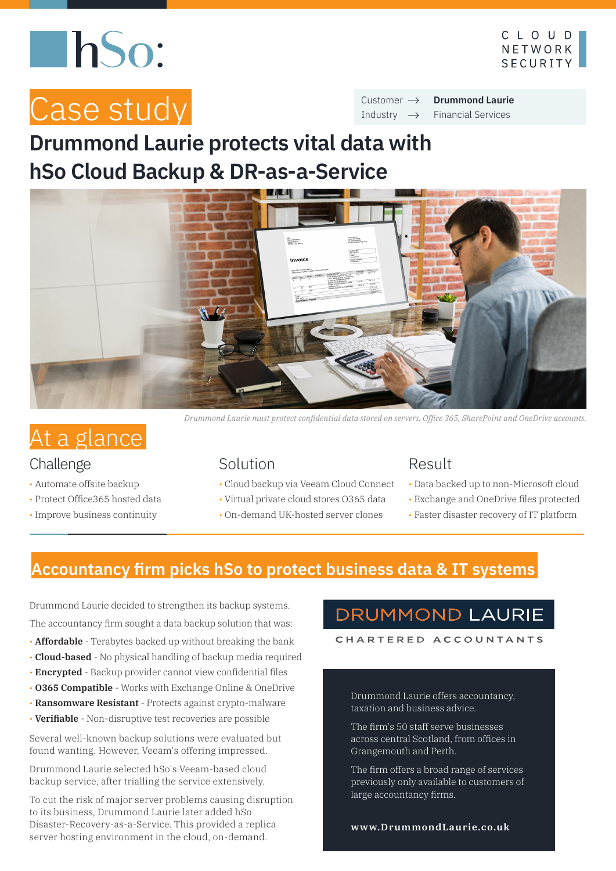# **ThSo:**



# Case study

**Drummond Laurie** Financial Services Customer  $\rightarrow$ Industry  $\rightarrow$ 

# **Drummond Laurie protects vital data with hSo Cloud Backup & DR-as-a-Service**



## At a glance

#### Challenge

- Automate offsite backup
- Protect Office365 hosted data
- Improve business continuity

*Drummond Laurie must protect confidential data stored on servers, Office 365, SharePoint and OneDrive accounts.* 

#### Solution

- Cloud backup via Veeam Cloud Connect
- Virtual private cloud stores O365 data
- On-demand UK-hosted server clones

#### Result

- Data backed up to non-Microsoft cloud
- Exchange and OneDrive files protected
- Faster disaster recovery of IT platform

#### **Accountancy firm picks hSo to protect business data & IT systems**

Drummond Laurie decided to strengthen its backup systems. The accountancy firm sought a data backup solution that was:

- **Affordable**  Terabytes backed up without breaking the bank
- **Cloud-based**  No physical handling of backup media required
- **Encrypted**  Backup provider cannot view confidential files
- **O365 Compatible**  Works with Exchange Online & OneDrive
- **Ransomware Resistant**  Protects against crypto-malware
- **Verifiable** Non-disruptive test recoveries are possible

Several well-known backup solutions were evaluated but found wanting. However, Veeam's offering impressed.

Drummond Laurie selected hSo's Veeam-based cloud backup service, after trialling the service extensively.

To cut the risk of major server problems causing disruption to its business, Drummond Laurie later added hSo Disaster-Recovery-as-a-Service. This provided a replica server hosting environment in the cloud, on-demand.

#### **DRUMMOND LAURIE**

CHARTERED ACCOUNTANTS

Drummond Laurie offers accountancy, taxation and business advice.

The firm's 50 staff serve businesses across central Scotland, from offices in Grangemouth and Perth.

The firm offers a broad range of services previously only available to customers of large accountancy firms.

```
www.DrummondLaurie.co.uk
```